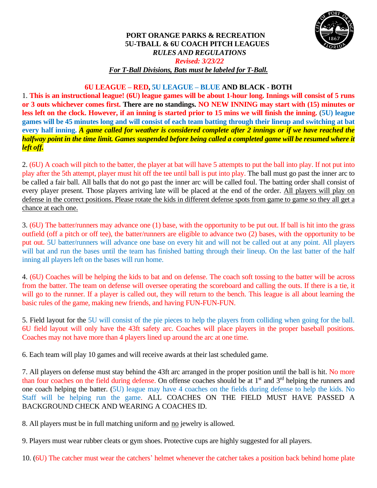

## **PORT ORANGE PARKS & RECREATION 5U-TBALL & 6U COACH PITCH LEAGUES** *RULES AND REGULATIONS Revised: 3/23/22 For T-Ball Divisions, Bats must be labeled for T-Ball.*

## **6U LEAGUE – RED, 5U LEAGUE – BLUE AND BLACK - BOTH**

1. **This is an instructional league! (6U) league games will be about 1-hour long. Innings will consist of 5 runs or 3 outs whichever comes first. There are no standings. NO NEW INNING may start with (15) minutes or less left on the clock. However, if an inning is started prior to 15 mins we will finish the inning.** (**5U) league games will be 45 minutes long and will consist of each team batting through their lineup and switching at bat every half inning.** *A game called for weather is considered complete after 2 innings or if we have reached the halfway point in the time limit. Games suspended before being called a completed game will be resumed where it left off.*

2. (6U) A coach will pitch to the batter, the player at bat will have 5 attempts to put the ball into play. If not put into play after the 5th attempt, player must hit off the tee until ball is put into play. The ball must go past the inner arc to be called a fair ball. All balls that do not go past the inner arc will be called foul. The batting order shall consist of every player present. Those players arriving late will be placed at the end of the order. All players will play on defense in the correct positions. Please rotate the kids in different defense spots from game to game so they all get a chance at each one.

3. (6U) The batter/runners may advance one (1) base, with the opportunity to be put out. If ball is hit into the grass outfield (off a pitch or off tee), the batter/runners are eligible to advance two (2) bases, with the opportunity to be put out. 5U batter/runners will advance one base on every hit and will not be called out at any point. All players will bat and run the bases until the team has finished batting through their lineup. On the last batter of the half inning all players left on the bases will run home.

4. (6U) Coaches will be helping the kids to bat and on defense. The coach soft tossing to the batter will be across from the batter. The team on defense will oversee operating the scoreboard and calling the outs. If there is a tie, it will go to the runner. If a player is called out, they will return to the bench. This league is all about learning the basic rules of the game, making new friends, and having FUN-FUN-FUN.

5. Field layout for the 5U will consist of the pie pieces to help the players from colliding when going for the ball. 6U field layout will only have the 43ft safety arc. Coaches will place players in the proper baseball positions. Coaches may not have more than 4 players lined up around the arc at one time.

6. Each team will play 10 games and will receive awards at their last scheduled game.

7. All players on defense must stay behind the 43ft arc arranged in the proper position until the ball is hit. No more than four coaches on the field during defense. On offense coaches should be at  $1<sup>st</sup>$  and  $3<sup>rd</sup>$  helping the runners and one coach helping the batter. (5U) league may have 4 coaches on the fields during defense to help the kids. No Staff will be helping run the game. ALL COACHES ON THE FIELD MUST HAVE PASSED A BACKGROUND CHECK AND WEARING A COACHES ID.

8. All players must be in full matching uniform and no jewelry is allowed.

9. Players must wear rubber cleats or gym shoes. Protective cups are highly suggested for all players.

10. (6U) The catcher must wear the catchers' helmet whenever the catcher takes a position back behind home plate